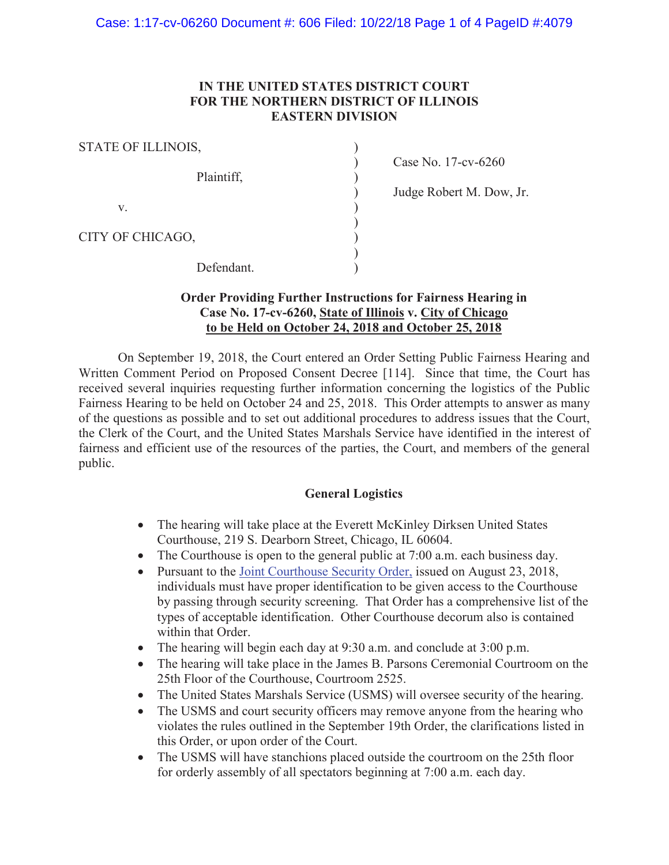#### **IN THE UNITED STATES DISTRICT COURT FOR THE NORTHERN DISTRICT OF ILLINOIS EASTERN DIVISION**

| STATE OF ILLINOIS, |  |
|--------------------|--|
| Plaintiff,         |  |
| V.                 |  |
| CITY OF CHICAGO,   |  |
| Defendant.         |  |

) Case No. 17-cv-6260

)<br>
Judge Robert M. Dow, Jr.<br>
)<br>
)<br>
)

#### **Order Providing Further Instructions for Fairness Hearing in Case No. 17-cv-6260, State of Illinois v. City of Chicago to be Held on October 24, 2018 and October 25, 2018**

 On September 19, 2018, the Court entered an Order Setting Public Fairness Hearing and Written Comment Period on Proposed Consent Decree [114]. Since that time, the Court has received several inquiries requesting further information concerning the logistics of the Public Fairness Hearing to be held on October 24 and 25, 2018. This Order attempts to answer as many of the questions as possible and to set out additional procedures to address issues that the Court, the Clerk of the Court, and the United States Marshals Service have identified in the interest of fairness and efficient use of the resources of the parties, the Court, and members of the general public.

### **General Logistics**

- The hearing will take place at the Everett McKinley Dirksen United States Courthouse, 219 S. Dearborn Street, Chicago, IL 60604.
- The Courthouse is open to the general public at  $7:00$  a.m. each business day.
- Pursuant to the [Joint Courthouse Security Order,](http://www.ilnd.uscourts.gov/_assets/_documents/_forms/_clerksoffice/rules/admin/pdf-orders/Joint%20Courthouse%20Security%20Order.pdf) issued on August 23, 2018, individuals must have proper identification to be given access to the Courthouse by passing through security screening. That Order has a comprehensive list of the types of acceptable identification. Other Courthouse decorum also is contained within that Order.
- The hearing will begin each day at  $9:30$  a.m. and conclude at  $3:00$  p.m.
- The hearing will take place in the James B. Parsons Ceremonial Courtroom on the 25th Floor of the Courthouse, Courtroom 2525.
- The United States Marshals Service (USMS) will oversee security of the hearing.
- The USMS and court security officers may remove anyone from the hearing who violates the rules outlined in the September 19th Order, the clarifications listed in this Order, or upon order of the Court.
- The USMS will have stanchions placed outside the courtroom on the 25th floor for orderly assembly of all spectators beginning at 7:00 a.m. each day.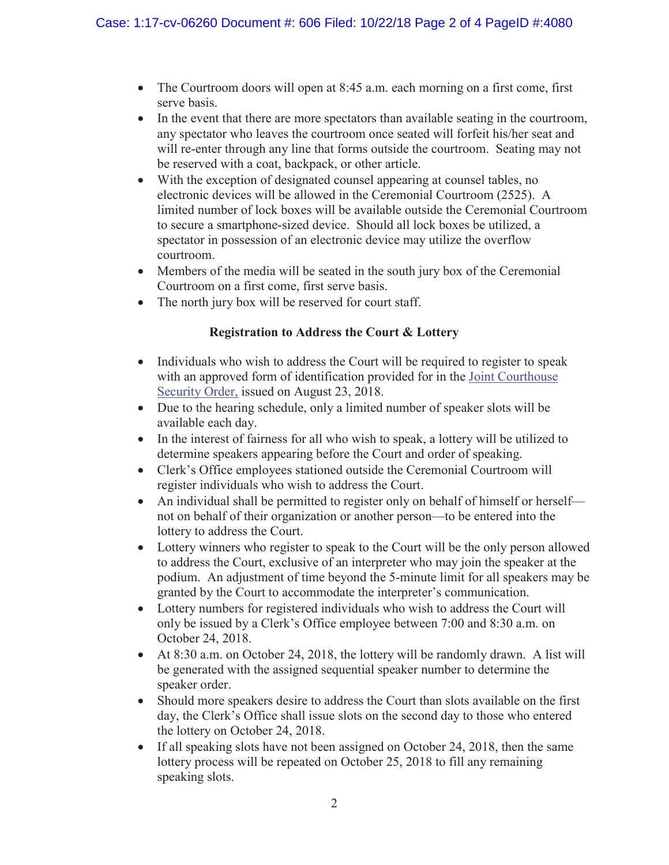- The Courtroom doors will open at 8:45 a.m. each morning on a first come, first serve basis.
- In the event that there are more spectators than available seating in the courtroom, any spectator who leaves the courtroom once seated will forfeit his/her seat and will re-enter through any line that forms outside the courtroom. Seating may not be reserved with a coat, backpack, or other article.
- With the exception of designated counsel appearing at counsel tables, no electronic devices will be allowed in the Ceremonial Courtroom (2525). A limited number of lock boxes will be available outside the Ceremonial Courtroom to secure a smartphone-sized device. Should all lock boxes be utilized, a spectator in possession of an electronic device may utilize the overflow courtroom.
- Members of the media will be seated in the south jury box of the Ceremonial Courtroom on a first come, first serve basis.
- The north jury box will be reserved for court staff.

# **Registration to Address the Court & Lottery**

- Individuals who wish to address the Court will be required to register to speak with an approved form of identification provided for in the Joint Courthouse Security Order, issued on August 23, 2018.
- Due to the hearing schedule, only a limited number of speaker slots will be available each day.
- $\bullet$  In the interest of fairness for all who wish to speak, a lottery will be utilized to determine speakers appearing before the Court and order of speaking.
- Clerk's Office employees stationed outside the Ceremonial Courtroom will register individuals who wish to address the Court.
- An individual shall be permitted to register only on behalf of himself or herself not on behalf of their organization or another person—to be entered into the lottery to address the Court.
- Lottery winners who register to speak to the Court will be the only person allowed to address the Court, exclusive of an interpreter who may join the speaker at the podium. An adjustment of time beyond the 5-minute limit for all speakers may be granted by the Court to accommodate the interpreter's communication.
- Lottery numbers for registered individuals who wish to address the Court will only be issued by a Clerk's Office employee between 7:00 and 8:30 a.m. on October 24, 2018.
- $\bullet$  At 8:30 a.m. on October 24, 2018, the lottery will be randomly drawn. A list will be generated with the assigned sequential speaker number to determine the speaker order.
- Should more speakers desire to address the Court than slots available on the first day, the Clerk's Office shall issue slots on the second day to those who entered the lottery on October 24, 2018.
- $\bullet$  If all speaking slots have not been assigned on October 24, 2018, then the same lottery process will be repeated on October 25, 2018 to fill any remaining speaking slots.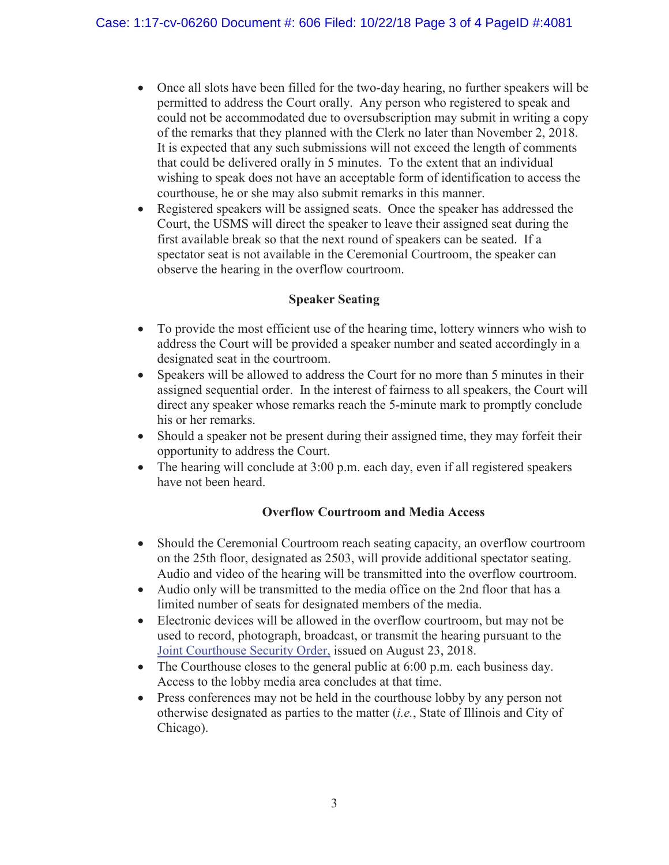- Once all slots have been filled for the two-day hearing, no further speakers will be permitted to address the Court orally. Any person who registered to speak and could not be accommodated due to oversubscription may submit in writing a copy of the remarks that they planned with the Clerk no later than November 2, 2018. It is expected that any such submissions will not exceed the length of comments that could be delivered orally in 5 minutes. To the extent that an individual wishing to speak does not have an acceptable form of identification to access the courthouse, he or she may also submit remarks in this manner.
- Registered speakers will be assigned seats. Once the speaker has addressed the Court, the USMS will direct the speaker to leave their assigned seat during the first available break so that the next round of speakers can be seated. If a spectator seat is not available in the Ceremonial Courtroom, the speaker can observe the hearing in the overflow courtroom.

## **Speaker Seating**

- To provide the most efficient use of the hearing time, lottery winners who wish to address the Court will be provided a speaker number and seated accordingly in a designated seat in the courtroom.
- Speakers will be allowed to address the Court for no more than 5 minutes in their assigned sequential order. In the interest of fairness to all speakers, the Court will direct any speaker whose remarks reach the 5-minute mark to promptly conclude his or her remarks.
- Should a speaker not be present during their assigned time, they may forfeit their opportunity to address the Court.
- The hearing will conclude at  $3:00$  p.m. each day, even if all registered speakers have not been heard.

# **Overflow Courtroom and Media Access**

- Should the Ceremonial Courtroom reach seating capacity, an overflow courtroom on the 25th floor, designated as 2503, will provide additional spectator seating. Audio and video of the hearing will be transmitted into the overflow courtroom.
- Audio only will be transmitted to the media office on the 2nd floor that has a limited number of seats for designated members of the media.
- Electronic devices will be allowed in the overflow courtroom, but may not be used to record, photograph, broadcast, or transmit the hearing pursuant to the [Joint Courthouse Security Order,](http://www.ilnd.uscourts.gov/_assets/_documents/_forms/_clerksoffice/rules/admin/pdf-orders/Joint%20Courthouse%20Security%20Order.pdf) issued on August 23, 2018.
- The Courthouse closes to the general public at  $6:00$  p.m. each business day. Access to the lobby media area concludes at that time.
- Press conferences may not be held in the courthouse lobby by any person not otherwise designated as parties to the matter (*i.e.*, State of Illinois and City of Chicago).